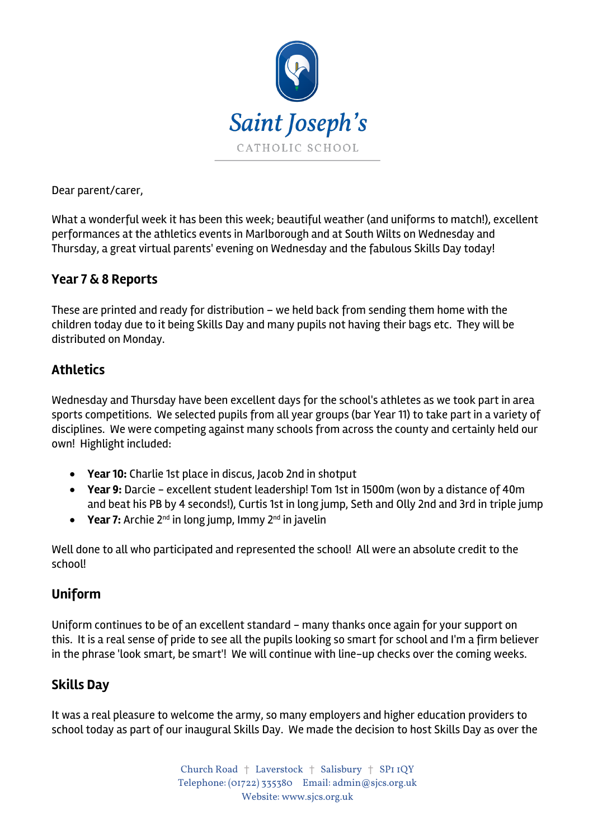

Dear parent/carer,

What a wonderful week it has been this week; beautiful weather (and uniforms to match!), excellent performances at the athletics events in Marlborough and at South Wilts on Wednesday and Thursday, a great virtual parents' evening on Wednesday and the fabulous Skills Day today!

### **Year 7 & 8 Reports**

These are printed and ready for distribution – we held back from sending them home with the children today due to it being Skills Day and many pupils not having their bags etc. They will be distributed on Monday.

## **Athletics**

Wednesday and Thursday have been excellent days for the school's athletes as we took part in area sports competitions. We selected pupils from all year groups (bar Year 11) to take part in a variety of disciplines. We were competing against many schools from across the county and certainly held our own! Highlight included:

- **Year10:** Charlie 1st place in discus, Jacob 2nd in shotput
- **Year 9:** Darcie excellent student leadership! Tom 1st in 1500m (won by a distance of 40m and beat his PB by 4 seconds!), Curtis 1st in long jump, Seth and Olly 2nd and 3rd in triple jump
- **Year 7:** Archie 2<sup>nd</sup> in long jump, Immy 2<sup>nd</sup> in javelin

Well done to all who participated and represented the school! All were an absolute credit to the school!

# **Uniform**

Uniform continues to be of an excellent standard - many thanks once again for your support on this. It is a real sense of pride to see all the pupils looking so smart for school and I'm a firm believer in the phrase 'look smart, be smart'! We will continue with line-up checks over the coming weeks.

# **Skills Day**

It was a real pleasure to welcome the army, so many employers and higher education providers to school today as part of our inaugural Skills Day. We made the decision to host Skills Day as over the

> Church Road † Laverstock † Salisbury † SP1 1QY Telephone: (01722) 335380 Email: admin@sjcs.org.uk Website: www.sjcs.org.uk